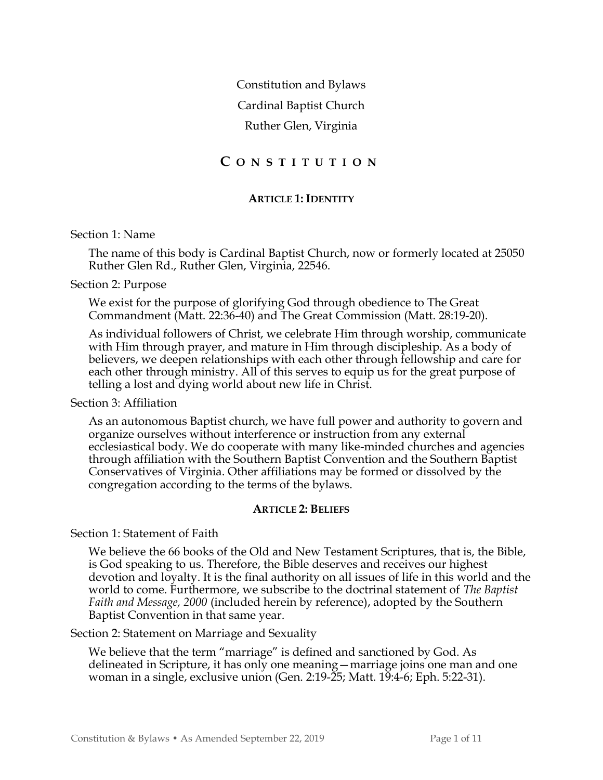Constitution and Bylaws Cardinal Baptist Church Ruther Glen, Virginia

# C O N S T I T U T I O N

## ARTICLE 1: IDENTITY

### Section 1: Name

The name of this body is Cardinal Baptist Church, now or formerly located at 25050 Ruther Glen Rd., Ruther Glen, Virginia, 22546.

### Section 2: Purpose

We exist for the purpose of glorifying God through obedience to The Great Commandment (Matt. 22:36-40) and The Great Commission (Matt. 28:19-20).

As individual followers of Christ, we celebrate Him through worship, communicate with Him through prayer, and mature in Him through discipleship. As a body of believers, we deepen relationships with each other through fellowship and care for each other through ministry. All of this serves to equip us for the great purpose of telling a lost and dying world about new life in Christ.

## Section 3: Affiliation

As an autonomous Baptist church, we have full power and authority to govern and organize ourselves without interference or instruction from any external ecclesiastical body. We do cooperate with many like-minded churches and agencies through affiliation with the Southern Baptist Convention and the Southern Baptist Conservatives of Virginia. Other affiliations may be formed or dissolved by the congregation according to the terms of the bylaws.

## ARTICLE 2: BELIEFS

Section 1: Statement of Faith

We believe the 66 books of the Old and New Testament Scriptures, that is, the Bible, is God speaking to us. Therefore, the Bible deserves and receives our highest devotion and loyalty. It is the final authority on all issues of life in this world and the world to come. Furthermore, we subscribe to the doctrinal statement of The Baptist Faith and Message, 2000 (included herein by reference), adopted by the Southern Baptist Convention in that same year.

## Section 2: Statement on Marriage and Sexuality

We believe that the term "marriage" is defined and sanctioned by God. As delineated in Scripture, it has only one meaning—marriage joins one man and one woman in a single, exclusive union (Gen. 2:19-25; Matt. 19:4-6; Eph. 5:22-31).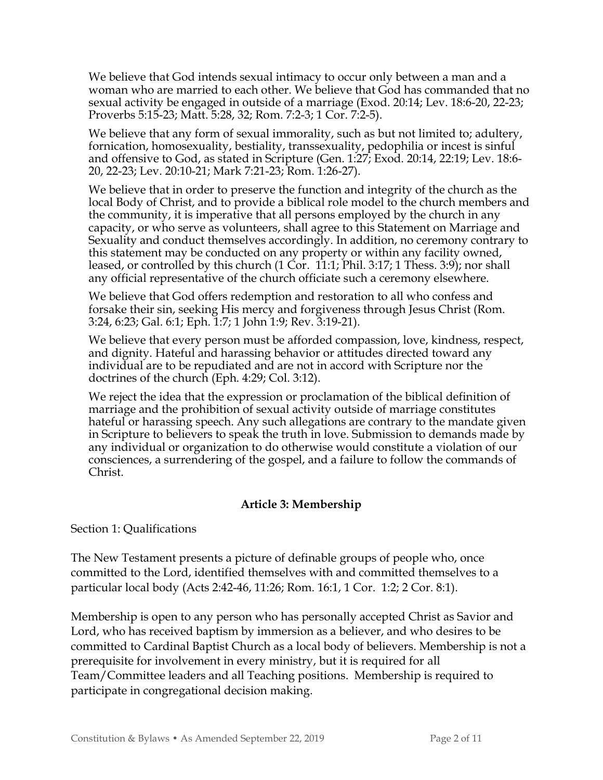We believe that God intends sexual intimacy to occur only between a man and a woman who are married to each other. We believe that God has commanded that no sexual activity be engaged in outside of a marriage (Exod. 20:14; Lev. 18:6-20, 22-23; Proverbs 5:15-23; Matt. 5:28, 32; Rom. 7:2-3; 1 Cor. 7:2-5).

We believe that any form of sexual immorality, such as but not limited to; adultery, fornication, homosexuality, bestiality, transsexuality, pedophilia or incest is sinful and offensive to God, as stated in Scripture (Gen. 1:27; Exod. 20:14, 22:19; Lev. 18:6- 20, 22-23; Lev. 20:10-21; Mark 7:21-23; Rom. 1:26-27).

We believe that in order to preserve the function and integrity of the church as the local Body of Christ, and to provide a biblical role model to the church members and the community, it is imperative that all persons employed by the church in any capacity, or who serve as volunteers, shall agree to this Statement on Marriage and Sexuality and conduct themselves accordingly. In addition, no ceremony contrary to this statement may be conducted on any property or within any facility owned, leased, or controlled by this church (1 Cor. 11:1; Phil. 3:17; 1 Thess. 3:9); nor shall any official representative of the church officiate such a ceremony elsewhere.

We believe that God offers redemption and restoration to all who confess and forsake their sin, seeking His mercy and forgiveness through Jesus Christ (Rom. 3:24, 6:23; Gal. 6:1; Eph. 1:7; 1 John 1:9; Rev. 3:19-21).

We believe that every person must be afforded compassion, love, kindness, respect, and dignity. Hateful and harassing behavior or attitudes directed toward any individual are to be repudiated and are not in accord with Scripture nor the doctrines of the church (Eph. 4:29; Col. 3:12).

We reject the idea that the expression or proclamation of the biblical definition of marriage and the prohibition of sexual activity outside of marriage constitutes hateful or harassing speech. Any such allegations are contrary to the mandate given in Scripture to believers to speak the truth in love. Submission to demands made by any individual or organization to do otherwise would constitute a violation of our consciences, a surrendering of the gospel, and a failure to follow the commands of Christ.

# Article 3: Membership

Section 1: Qualifications

The New Testament presents a picture of definable groups of people who, once committed to the Lord, identified themselves with and committed themselves to a particular local body (Acts 2:42-46, 11:26; Rom. 16:1, 1 Cor. 1:2; 2 Cor. 8:1).

Membership is open to any person who has personally accepted Christ as Savior and Lord, who has received baptism by immersion as a believer, and who desires to be committed to Cardinal Baptist Church as a local body of believers. Membership is not a prerequisite for involvement in every ministry, but it is required for all Team/Committee leaders and all Teaching positions. Membership is required to participate in congregational decision making.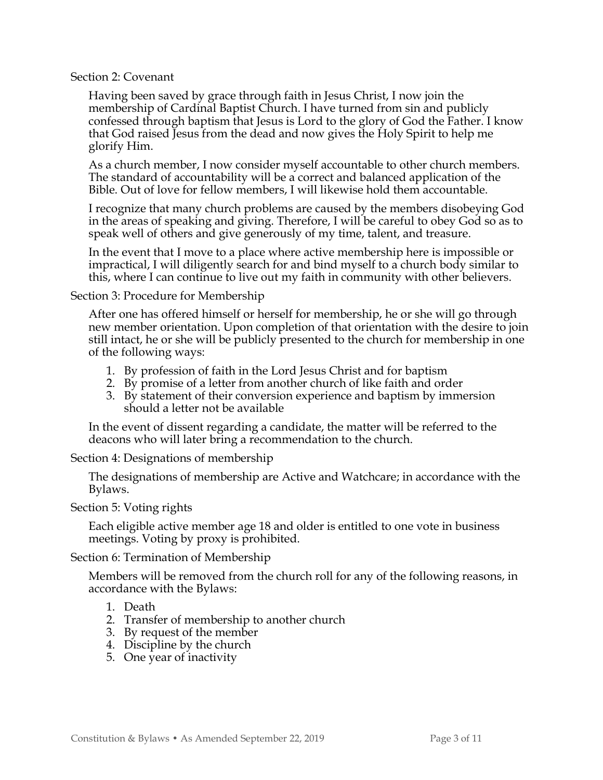### Section 2: Covenant

Having been saved by grace through faith in Jesus Christ, I now join the membership of Cardinal Baptist Church. I have turned from sin and publicly confessed through baptism that Jesus is Lord to the glory of God the Father. I know that God raised Jesus from the dead and now gives the Holy Spirit to help me glorify Him.

As a church member, I now consider myself accountable to other church members. The standard of accountability will be a correct and balanced application of the Bible. Out of love for fellow members, I will likewise hold them accountable.

I recognize that many church problems are caused by the members disobeying God in the areas of speaking and giving. Therefore, I will be careful to obey God so as to speak well of others and give generously of my time, talent, and treasure.

In the event that I move to a place where active membership here is impossible or impractical, I will diligently search for and bind myself to a church body similar to this, where I can continue to live out my faith in community with other believers.

### Section 3: Procedure for Membership

After one has offered himself or herself for membership, he or she will go through new member orientation. Upon completion of that orientation with the desire to join still intact, he or she will be publicly presented to the church for membership in one of the following ways:

- 1. By profession of faith in the Lord Jesus Christ and for baptism
- 2. By promise of a letter from another church of like faith and order
- 3. By statement of their conversion experience and baptism by immersion should a letter not be available

In the event of dissent regarding a candidate, the matter will be referred to the deacons who will later bring a recommendation to the church.

Section 4: Designations of membership

The designations of membership are Active and Watchcare; in accordance with the Bylaws.

## Section 5: Voting rights

Each eligible active member age 18 and older is entitled to one vote in business meetings. Voting by proxy is prohibited.

Section 6: Termination of Membership

Members will be removed from the church roll for any of the following reasons, in accordance with the Bylaws:

## 1. Death

- 2. Transfer of membership to another church
- 3. By request of the member
- 4. Discipline by the church
- 5. One year of inactivity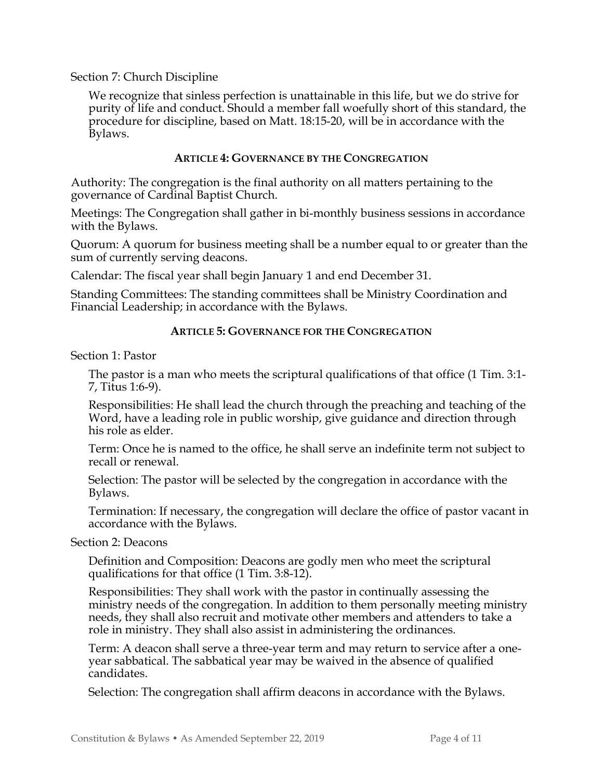## Section 7: Church Discipline

We recognize that sinless perfection is unattainable in this life, but we do strive for purity of life and conduct. Should a member fall woefully short of this standard, the procedure for discipline, based on Matt. 18:15-20, will be in accordance with the Bylaws.

### ARTICLE 4: GOVERNANCE BY THE CONGREGATION

Authority: The congregation is the final authority on all matters pertaining to the governance of Cardinal Baptist Church.

Meetings: The Congregation shall gather in bi-monthly business sessions in accordance with the Bylaws.

Quorum: A quorum for business meeting shall be a number equal to or greater than the sum of currently serving deacons.

Calendar: The fiscal year shall begin January 1 and end December 31.

Standing Committees: The standing committees shall be Ministry Coordination and Financial Leadership; in accordance with the Bylaws.

## ARTICLE 5: GOVERNANCE FOR THE CONGREGATION

Section 1: Pastor

The pastor is a man who meets the scriptural qualifications of that office (1 Tim. 3:1- 7, Titus 1:6-9).

Responsibilities: He shall lead the church through the preaching and teaching of the Word, have a leading role in public worship, give guidance and direction through his role as elder.

Term: Once he is named to the office, he shall serve an indefinite term not subject to recall or renewal.

Selection: The pastor will be selected by the congregation in accordance with the Bylaws.

Termination: If necessary, the congregation will declare the office of pastor vacant in accordance with the Bylaws.

#### Section 2: Deacons

Definition and Composition: Deacons are godly men who meet the scriptural qualifications for that office (1 Tim. 3:8-12).

Responsibilities: They shall work with the pastor in continually assessing the ministry needs of the congregation. In addition to them personally meeting ministry needs, they shall also recruit and motivate other members and attenders to take a role in ministry. They shall also assist in administering the ordinances.

Term: A deacon shall serve a three-year term and may return to service after a oneyear sabbatical. The sabbatical year may be waived in the absence of qualified candidates.

Selection: The congregation shall affirm deacons in accordance with the Bylaws.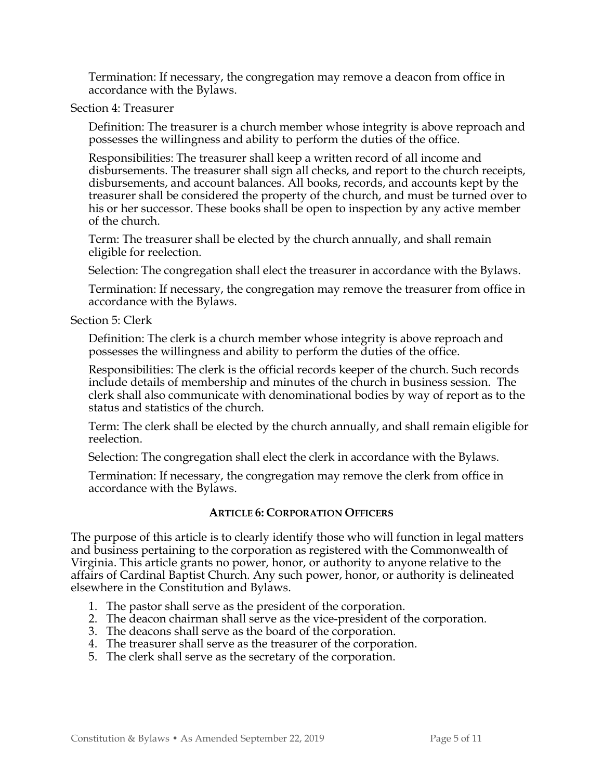Termination: If necessary, the congregation may remove a deacon from office in accordance with the Bylaws.

Section 4: Treasurer

Definition: The treasurer is a church member whose integrity is above reproach and possesses the willingness and ability to perform the duties of the office.

Responsibilities: The treasurer shall keep a written record of all income and disbursements. The treasurer shall sign all checks, and report to the church receipts, disbursements, and account balances. All books, records, and accounts kept by the treasurer shall be considered the property of the church, and must be turned over to his or her successor. These books shall be open to inspection by any active member of the church.

Term: The treasurer shall be elected by the church annually, and shall remain eligible for reelection.

Selection: The congregation shall elect the treasurer in accordance with the Bylaws.

Termination: If necessary, the congregation may remove the treasurer from office in accordance with the Bylaws.

## Section 5: Clerk

Definition: The clerk is a church member whose integrity is above reproach and possesses the willingness and ability to perform the duties of the office.

Responsibilities: The clerk is the official records keeper of the church. Such records include details of membership and minutes of the church in business session. The clerk shall also communicate with denominational bodies by way of report as to the status and statistics of the church.

Term: The clerk shall be elected by the church annually, and shall remain eligible for reelection.

Selection: The congregation shall elect the clerk in accordance with the Bylaws.

Termination: If necessary, the congregation may remove the clerk from office in accordance with the Bylaws.

## ARTICLE 6: CORPORATION OFFICERS

The purpose of this article is to clearly identify those who will function in legal matters and business pertaining to the corporation as registered with the Commonwealth of Virginia. This article grants no power, honor, or authority to anyone relative to the affairs of Cardinal Baptist Church. Any such power, honor, or authority is delineated elsewhere in the Constitution and Bylaws.

- 1. The pastor shall serve as the president of the corporation.
- 2. The deacon chairman shall serve as the vice-president of the corporation.
- 3. The deacons shall serve as the board of the corporation.
- 4. The treasurer shall serve as the treasurer of the corporation.
- 5. The clerk shall serve as the secretary of the corporation.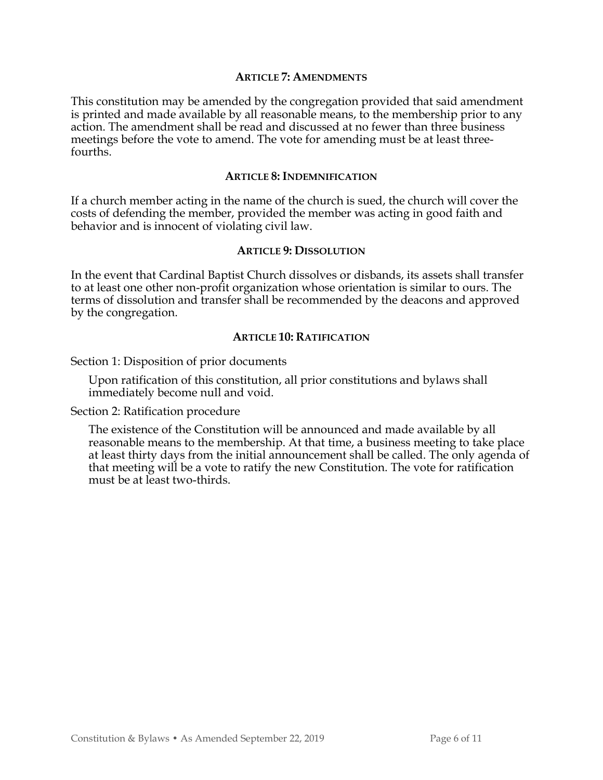#### ARTICLE 7: AMENDMENTS

This constitution may be amended by the congregation provided that said amendment is printed and made available by all reasonable means, to the membership prior to any action. The amendment shall be read and discussed at no fewer than three business meetings before the vote to amend. The vote for amending must be at least threefourths.

#### ARTICLE 8: INDEMNIFICATION

If a church member acting in the name of the church is sued, the church will cover the costs of defending the member, provided the member was acting in good faith and behavior and is innocent of violating civil law.

#### ARTICLE 9: DISSOLUTION

In the event that Cardinal Baptist Church dissolves or disbands, its assets shall transfer to at least one other non-profit organization whose orientation is similar to ours. The terms of dissolution and transfer shall be recommended by the deacons and approved by the congregation.

#### ARTICLE 10: RATIFICATION

Section 1: Disposition of prior documents

Upon ratification of this constitution, all prior constitutions and bylaws shall immediately become null and void.

Section 2: Ratification procedure

The existence of the Constitution will be announced and made available by all reasonable means to the membership. At that time, a business meeting to take place at least thirty days from the initial announcement shall be called. The only agenda of that meeting will be a vote to ratify the new Constitution. The vote for ratification must be at least two-thirds.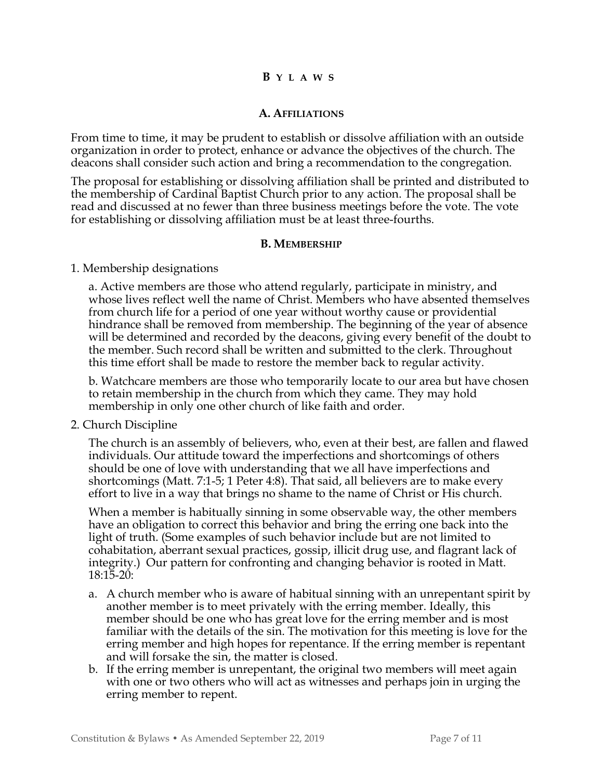## B Y L A W S

## A. AFFILIATIONS

From time to time, it may be prudent to establish or dissolve affiliation with an outside organization in order to protect, enhance or advance the objectives of the church. The deacons shall consider such action and bring a recommendation to the congregation.

The proposal for establishing or dissolving affiliation shall be printed and distributed to the membership of Cardinal Baptist Church prior to any action. The proposal shall be read and discussed at no fewer than three business meetings before the vote. The vote for establishing or dissolving affiliation must be at least three-fourths.

### B. MEMBERSHIP

### 1. Membership designations

a. Active members are those who attend regularly, participate in ministry, and whose lives reflect well the name of Christ. Members who have absented themselves from church life for a period of one year without worthy cause or providential hindrance shall be removed from membership. The beginning of the year of absence will be determined and recorded by the deacons, giving every benefit of the doubt to the member. Such record shall be written and submitted to the clerk. Throughout this time effort shall be made to restore the member back to regular activity.

b. Watchcare members are those who temporarily locate to our area but have chosen to retain membership in the church from which they came. They may hold membership in only one other church of like faith and order.

## 2. Church Discipline

The church is an assembly of believers, who, even at their best, are fallen and flawed individuals. Our attitude toward the imperfections and shortcomings of others should be one of love with understanding that we all have imperfections and shortcomings (Matt. 7:1-5; 1 Peter 4:8). That said, all believers are to make every effort to live in a way that brings no shame to the name of Christ or His church.

When a member is habitually sinning in some observable way, the other members have an obligation to correct this behavior and bring the erring one back into the light of truth. (Some examples of such behavior include but are not limited to cohabitation, aberrant sexual practices, gossip, illicit drug use, and flagrant lack of integrity.) Our pattern for confronting and changing behavior is rooted in Matt. 18:15-20:

- a. A church member who is aware of habitual sinning with an unrepentant spirit by another member is to meet privately with the erring member. Ideally, this member should be one who has great love for the erring member and is most familiar with the details of the sin. The motivation for this meeting is love for the erring member and high hopes for repentance. If the erring member is repentant and will forsake the sin, the matter is closed.
- b. If the erring member is unrepentant, the original two members will meet again with one or two others who will act as witnesses and perhaps join in urging the erring member to repent.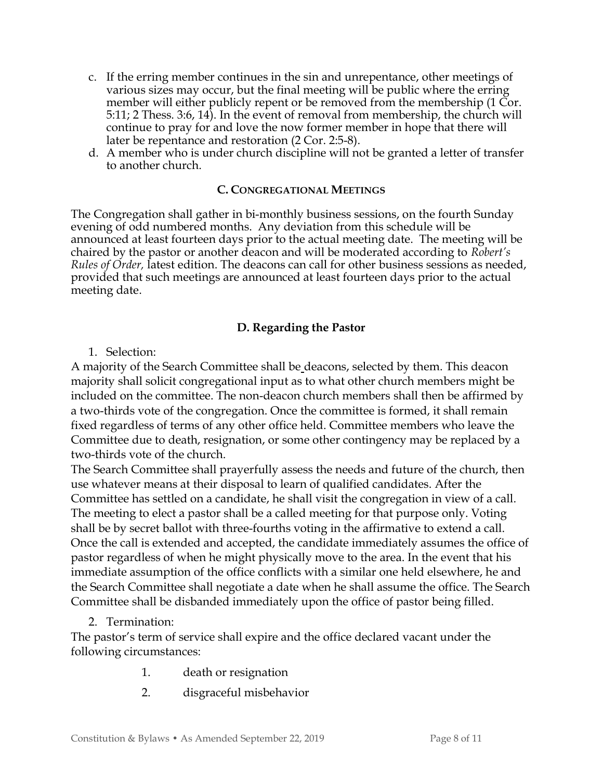- c. If the erring member continues in the sin and unrepentance, other meetings of various sizes may occur, but the final meeting will be public where the erring member will either publicly repent or be removed from the membership (1 Cor. 5:11; 2 Thess. 3:6, 14). In the event of removal from membership, the church will continue to pray for and love the now former member in hope that there will later be repentance and restoration (2 Cor. 2:5-8).
- d. A member who is under church discipline will not be granted a letter of transfer to another church.

## C. CONGREGATIONAL MEETINGS

The Congregation shall gather in bi-monthly business sessions, on the fourth Sunday evening of odd numbered months. Any deviation from this schedule will be announced at least fourteen days prior to the actual meeting date. The meeting will be chaired by the pastor or another deacon and will be moderated according to Robert's Rules of Order, latest edition. The deacons can call for other business sessions as needed, provided that such meetings are announced at least fourteen days prior to the actual meeting date.

## D. Regarding the Pastor

## 1. Selection:

A majority of the Search Committee shall be deacons, selected by them. This deacon majority shall solicit congregational input as to what other church members might be included on the committee. The non-deacon church members shall then be affirmed by a two-thirds vote of the congregation. Once the committee is formed, it shall remain fixed regardless of terms of any other office held. Committee members who leave the Committee due to death, resignation, or some other contingency may be replaced by a two-thirds vote of the church.

The Search Committee shall prayerfully assess the needs and future of the church, then use whatever means at their disposal to learn of qualified candidates. After the Committee has settled on a candidate, he shall visit the congregation in view of a call. The meeting to elect a pastor shall be a called meeting for that purpose only. Voting shall be by secret ballot with three-fourths voting in the affirmative to extend a call. Once the call is extended and accepted, the candidate immediately assumes the office of pastor regardless of when he might physically move to the area. In the event that his immediate assumption of the office conflicts with a similar one held elsewhere, he and the Search Committee shall negotiate a date when he shall assume the office. The Search Committee shall be disbanded immediately upon the office of pastor being filled.

## 2. Termination:

The pastor's term of service shall expire and the office declared vacant under the following circumstances:

- 1. death or resignation
- 2. disgraceful misbehavior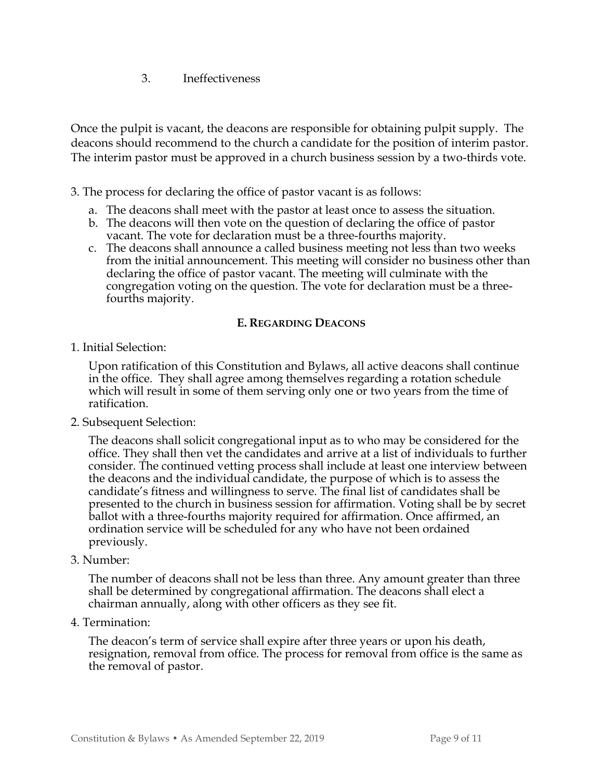3. Ineffectiveness

Once the pulpit is vacant, the deacons are responsible for obtaining pulpit supply. The deacons should recommend to the church a candidate for the position of interim pastor. The interim pastor must be approved in a church business session by a two-thirds vote.

3. The process for declaring the office of pastor vacant is as follows:

- a. The deacons shall meet with the pastor at least once to assess the situation.
- b. The deacons will then vote on the question of declaring the office of pastor vacant. The vote for declaration must be a three-fourths majority.
- c. The deacons shall announce a called business meeting not less than two weeks from the initial announcement. This meeting will consider no business other than declaring the office of pastor vacant. The meeting will culminate with the congregation voting on the question. The vote for declaration must be a threefourths majority.

## E. REGARDING DEACONS

1. Initial Selection:

Upon ratification of this Constitution and Bylaws, all active deacons shall continue in the office. They shall agree among themselves regarding a rotation schedule which will result in some of them serving only one or two years from the time of ratification.

2. Subsequent Selection:

The deacons shall solicit congregational input as to who may be considered for the office. They shall then vet the candidates and arrive at a list of individuals to further consider. The continued vetting process shall include at least one interview between the deacons and the individual candidate, the purpose of which is to assess the candidate's fitness and willingness to serve. The final list of candidates shall be presented to the church in business session for affirmation. Voting shall be by secret ballot with a three-fourths majority required for affirmation. Once affirmed, an ordination service will be scheduled for any who have not been ordained previously.

3. Number:

The number of deacons shall not be less than three. Any amount greater than three shall be determined by congregational affirmation. The deacons shall elect a chairman annually, along with other officers as they see fit.

4. Termination:

The deacon's term of service shall expire after three years or upon his death, resignation, removal from office. The process for removal from office is the same as the removal of pastor.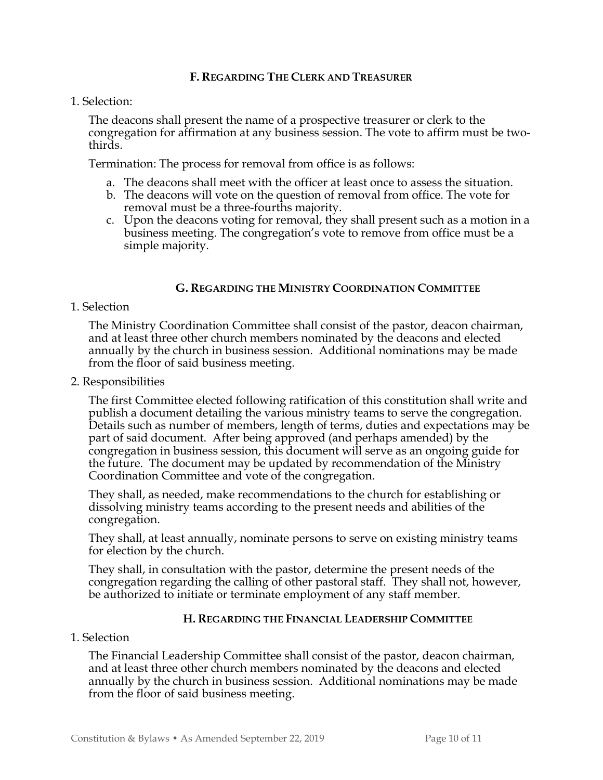### F. REGARDING THE CLERK AND TREASURER

1. Selection:

The deacons shall present the name of a prospective treasurer or clerk to the congregation for affirmation at any business session. The vote to affirm must be twothirds.

Termination: The process for removal from office is as follows:

- a. The deacons shall meet with the officer at least once to assess the situation.
- b. The deacons will vote on the question of removal from office. The vote for removal must be a three-fourths majority.
- c. Upon the deacons voting for removal, they shall present such as a motion in a business meeting. The congregation's vote to remove from office must be a simple majority.

## G. REGARDING THE MINISTRY COORDINATION COMMITTEE

1. Selection

The Ministry Coordination Committee shall consist of the pastor, deacon chairman, and at least three other church members nominated by the deacons and elected annually by the church in business session. Additional nominations may be made from the floor of said business meeting.

2. Responsibilities

The first Committee elected following ratification of this constitution shall write and publish a document detailing the various ministry teams to serve the congregation. Details such as number of members, length of terms, duties and expectations may be part of said document. After being approved (and perhaps amended) by the congregation in business session, this document will serve as an ongoing guide for the future. The document may be updated by recommendation of the Ministry Coordination Committee and vote of the congregation.

They shall, as needed, make recommendations to the church for establishing or dissolving ministry teams according to the present needs and abilities of the congregation.

They shall, at least annually, nominate persons to serve on existing ministry teams for election by the church.

They shall, in consultation with the pastor, determine the present needs of the congregation regarding the calling of other pastoral staff. They shall not, however, be authorized to initiate or terminate employment of any staff member.

## H. REGARDING THE FINANCIAL LEADERSHIP COMMITTEE

## 1. Selection

The Financial Leadership Committee shall consist of the pastor, deacon chairman, and at least three other church members nominated by the deacons and elected annually by the church in business session. Additional nominations may be made from the floor of said business meeting.